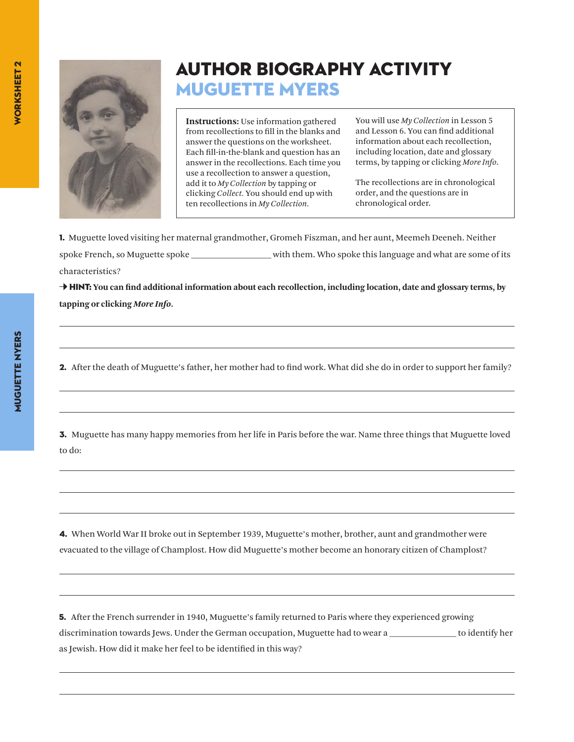

## Author Biography Activity MUGUETTE MYERS

**Instructions:** Use information gathered from recollections to fill in the blanks and answer the questions on the worksheet. Each fill-in-the-blank and question has an answer in the recollections. Each time you use a recollection to answer a question, add it to *My Collection* by tapping or clicking *Collect.* You should end up with ten recollections in *My Collection.*

You will use *My Collection* in Lesson 5 and Lesson 6. You can find additional information about each recollection, including location, date and glossary terms, by tapping or clicking *More Info*.

The recollections are in chronological order, and the questions are in chronological order.

1. Muguette loved visiting her maternal grandmother, Gromeh Fiszman, and her aunt, Meemeh Deeneh. Neither spoke French, so Muguette spoke \_\_\_\_\_\_\_\_\_\_\_\_\_\_\_\_\_\_ with them. Who spoke this language and what are some of its characteristics?

→ **HINT:** You can find additional information about each recollection, including location, date and glossary terms, by **tapping or clicking** *More Info***.**

2. After the death of Muguette's father, her mother had to find work. What did she do in order to support her family?

3. Muguette has many happy memories from her life in Paris before the war. Name three things that Muguette loved to do:

4. When World War II broke out in September 1939, Muguette's mother, brother, aunt and grandmother were evacuated to the village of Champlost. How did Muguette's mother become an honorary citizen of Champlost?

5. After the French surrender in 1940, Muguette's family returned to Paris where they experienced growing discrimination towards Jews. Under the German occupation, Muguette had to wear a \_\_\_\_\_\_\_\_\_\_\_\_\_\_\_ to identify her as Jewish. How did it make her feel to be identified in this way?